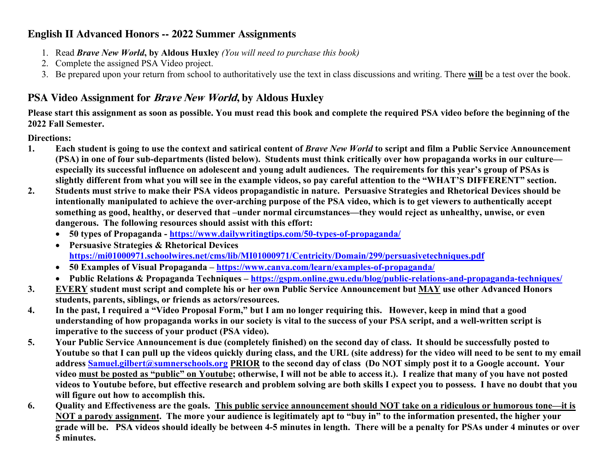#### **English II Advanced Honors -- 2022 Summer Assignments**

- 1. Read *Brave New World***, by Aldous Huxley** *(You will need to purchase this book)*
- 2. Complete the assigned PSA Video project.
- 3. Be prepared upon your return from school to authoritatively use the text in class discussions and writing. There **will** be a test over the book.

### **PSA Video Assignment for Brave New World, by Aldous Huxley**

**Please start this assignment as soon as possible. You must read this book and complete the required PSA video before the beginning of the 2022 Fall Semester.**

**Directions:**

- **1. Each student is going to use the context and satirical content of** *Brave New World* **to script and film a Public Service Announcement (PSA) in one of four sub-departments (listed below). Students must think critically over how propaganda works in our culture especially its successful influence on adolescent and young adult audiences. The requirements for this year's group of PSAs is slightly different from what you will see in the example videos, so pay careful attention to the "WHAT'S DIFFERENT" section.**
- **2. Students must strive to make their PSA videos propagandistic in nature. Persuasive Strategies and Rhetorical Devices should be intentionally manipulated to achieve the over-arching purpose of the PSA video, which is to get viewers to authentically accept something as good, healthy, or deserved that –under normal circumstances—they would reject as unhealthy, unwise, or even dangerous. The following resources should assist with this effort:**
	- **50 types of Propaganda - https://www.dailywritingtips.com/50-types-of-propaganda/**
	- **Persuasive Strategies & Rhetorical Devices https://mi01000971.schoolwires.net/cms/lib/MI01000971/Centricity/Domain/299/persuasivetechniques.pdf**
	- **50 Examples of Visual Propaganda – https://www.canva.com/learn/examples-of-propaganda/**
	- **Public Relations & Propaganda Techniques – https://gspm.online.gwu.edu/blog/public-relations-and-propaganda-techniques/**
- **3. EVERY student must script and complete his or her own Public Service Announcement but MAY use other Advanced Honors students, parents, siblings, or friends as actors/resources.**
- **4. In the past, I required a "Video Proposal Form," but I am no longer requiring this. However, keep in mind that a good understanding of how propaganda works in our society is vital to the success of your PSA script, and a well-written script is imperative to the success of your product (PSA video).**
- **5. Your Public Service Announcement is due (completely finished) on the second day of class. It should be successfully posted to Youtube so that I can pull up the videos quickly during class, and the URL (site address) for the video will need to be sent to my email address Samuel.gilbert@sumnerschools.org PRIOR to the second day of class (Do NOT simply post it to a Google account. Your video must be posted as "public" on Youtube; otherwise, I will not be able to access it.). I realize that many of you have not posted videos to Youtube before, but effective research and problem solving are both skills I expect you to possess. I have no doubt that you will figure out how to accomplish this.**
- **6. Quality and Effectiveness are the goals. This public service announcement should NOT take on a ridiculous or humorous tone—it is NOT a parody assignment. The more your audience is legitimately apt to "buy in" to the information presented, the higher your grade will be. PSA videos should ideally be between 4-5 minutes in length. There will be a penalty for PSAs under 4 minutes or over 5 minutes.**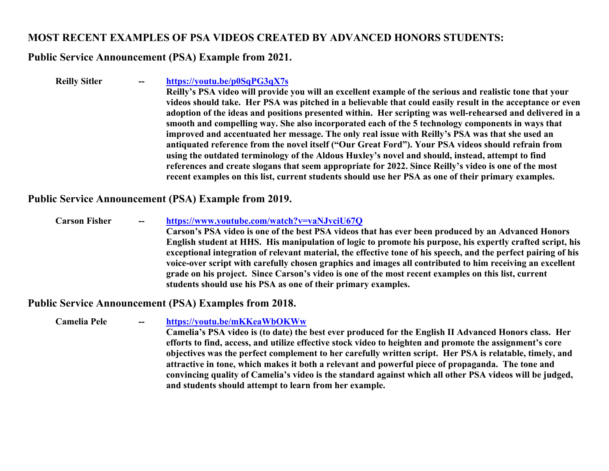#### **MOST RECENT EXAMPLES OF PSA VIDEOS CREATED BY ADVANCED HONORS STUDENTS:**

#### **Public Service Announcement (PSA) Example from 2021.**

**Reilly Sitler -- https://youtu.be/p0SqPG3qX7s Reilly's PSA video will provide you will an excellent example of the serious and realistic tone that your videos should take. Her PSA was pitched in a believable that could easily result in the acceptance or even adoption of the ideas and positions presented within. Her scripting was well-rehearsed and delivered in a smooth and compelling way. She also incorporated each of the 5 technology components in ways that improved and accentuated her message. The only real issue with Reilly's PSA was that she used an antiquated reference from the novel itself ("Our Great Ford"). Your PSA videos should refrain from using the outdated terminology of the Aldous Huxley's novel and should, instead, attempt to find references and create slogans that seem appropriate for 2022. Since Reilly's video is one of the most recent examples on this list, current students should use her PSA as one of their primary examples.**

#### **Public Service Announcement (PSA) Example from 2019.**

**Carson Fisher -- https://www.youtube.com/watch?v=vaNJvciU67Q Carson's PSA video is one of the best PSA videos that has ever been produced by an Advanced Honors English student at HHS. His manipulation of logic to promote his purpose, his expertly crafted script, his exceptional integration of relevant material, the effective tone of his speech, and the perfect pairing of his voice-over script with carefully chosen graphics and images all contributed to him receiving an excellent grade on his project. Since Carson's video is one of the most recent examples on this list, current students should use his PSA as one of their primary examples.**

#### **Public Service Announcement (PSA) Examples from 2018.**

**Camelia Pele -- https://youtu.be/mKKeaWbOKWw Camelia's PSA video is (to date) the best ever produced for the English II Advanced Honors class. Her efforts to find, access, and utilize effective stock video to heighten and promote the assignment's core objectives was the perfect complement to her carefully written script. Her PSA is relatable, timely, and attractive in tone, which makes it both a relevant and powerful piece of propaganda. The tone and convincing quality of Camelia's video is the standard against which all other PSA videos will be judged, and students should attempt to learn from her example.**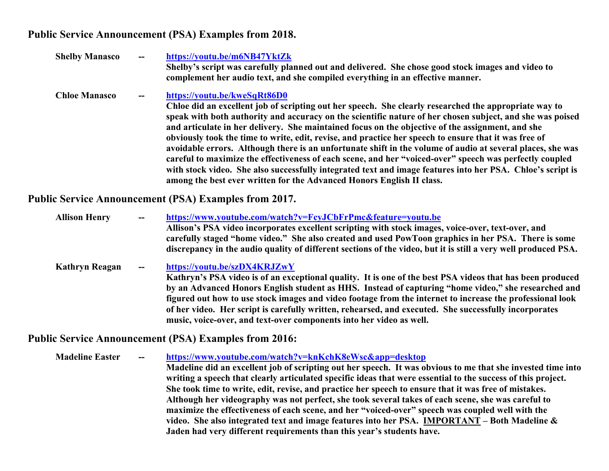#### **Public Service Announcement (PSA) Examples from 2018.**

| <b>Shelby Manasco</b> | -- | https://youtu.be/m6NB47YktZk<br>Shelby's script was carefully planned out and delivered. She chose good stock images and video to<br>complement her audio text, and she compiled everything in an effective manner.                                                                                                                                                                                                                                                                                                                                                                                                                                                                                                                                                                                                                                                             |
|-----------------------|----|---------------------------------------------------------------------------------------------------------------------------------------------------------------------------------------------------------------------------------------------------------------------------------------------------------------------------------------------------------------------------------------------------------------------------------------------------------------------------------------------------------------------------------------------------------------------------------------------------------------------------------------------------------------------------------------------------------------------------------------------------------------------------------------------------------------------------------------------------------------------------------|
| <b>Chloe Manasco</b>  | -- | https://youtu.be/kweSqRt86D0<br>Chloe did an excellent job of scripting out her speech. She clearly researched the appropriate way to<br>speak with both authority and accuracy on the scientific nature of her chosen subject, and she was poised<br>and articulate in her delivery. She maintained focus on the objective of the assignment, and she<br>obviously took the time to write, edit, revise, and practice her speech to ensure that it was free of<br>avoidable errors. Although there is an unfortunate shift in the volume of audio at several places, she was<br>careful to maximize the effectiveness of each scene, and her "voiced-over" speech was perfectly coupled<br>with stock video. She also successfully integrated text and image features into her PSA. Chloe's script is<br>among the best ever written for the Advanced Honors English II class. |

**Public Service Announcement (PSA) Examples from 2017.** 

**Allison Henry -- https://www.youtube.com/watch?v=FcyJCbFrPmc&feature=youtu.be Allison's PSA video incorporates excellent scripting with stock images, voice-over, text-over, and carefully staged "home video." She also created and used PowToon graphics in her PSA. There is some discrepancy in the audio quality of different sections of the video, but it is still a very well produced PSA. Kathryn Reagan -- https://youtu.be/szDX4KRJZwY Kathryn's PSA video is of an exceptional quality. It is one of the best PSA videos that has been produced by an Advanced Honors English student as HHS. Instead of capturing "home video," she researched and figured out how to use stock images and video footage from the internet to increase the professional look** 

**of her video. Her script is carefully written, rehearsed, and executed. She successfully incorporates** 

**music, voice-over, and text-over components into her video as well.** 

**Public Service Announcement (PSA) Examples from 2016:**

**Madeline Easter -- https://www.youtube.com/watch?v=knKchK8eWsc&app=desktop Madeline did an excellent job of scripting out her speech. It was obvious to me that she invested time into writing a speech that clearly articulated specific ideas that were essential to the success of this project. She took time to write, edit, revise, and practice her speech to ensure that it was free of mistakes. Although her videography was not perfect, she took several takes of each scene, she was careful to maximize the effectiveness of each scene, and her "voiced-over" speech was coupled well with the video. She also integrated text and image features into her PSA. IMPORTANT – Both Madeline & Jaden had very different requirements than this year's students have.**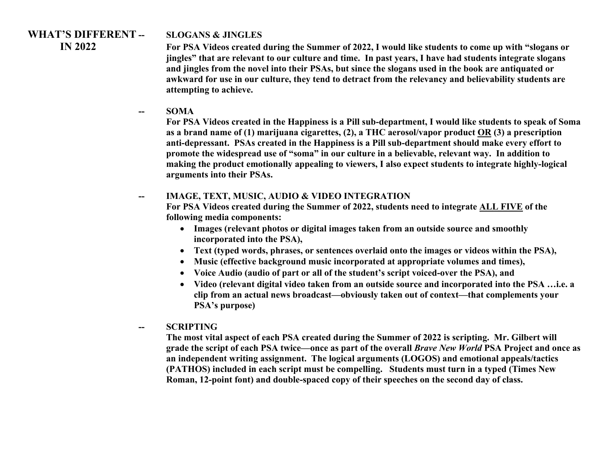# **WHAT'S DIFFERENT -- SLOGANS & JINGLES**

 **IN 2022 For PSA Videos created during the Summer of 2022, I would like students to come up with "slogans or jingles" that are relevant to our culture and time. In past years, I have had students integrate slogans and jingles from the novel into their PSAs, but since the slogans used in the book are antiquated or awkward for use in our culture, they tend to detract from the relevancy and believability students are attempting to achieve.**

**-- SOMA**

**For PSA Videos created in the Happiness is a Pill sub-department, I would like students to speak of Soma as a brand name of (1) marijuana cigarettes, (2), a THC aerosol/vapor product OR (3) a prescription anti-depressant. PSAs created in the Happiness is a Pill sub-department should make every effort to promote the widespread use of "soma" in our culture in a believable, relevant way. In addition to making the product emotionally appealing to viewers, I also expect students to integrate highly-logical arguments into their PSAs.** 

#### **IMAGE, TEXT, MUSIC, AUDIO & VIDEO INTEGRATION**

**For PSA Videos created during the Summer of 2022, students need to integrate ALL FIVE of the following media components:** 

- **Images (relevant photos or digital images taken from an outside source and smoothly incorporated into the PSA),**
- **Text (typed words, phrases, or sentences overlaid onto the images or videos within the PSA),**
- **Music (effective background music incorporated at appropriate volumes and times),**
- **Voice Audio (audio of part or all of the student's script voiced-over the PSA), and**
- **Video (relevant digital video taken from an outside source and incorporated into the PSA …i.e. a clip from an actual news broadcast—obviously taken out of context—that complements your PSA's purpose)**
- **-- SCRIPTING**

**The most vital aspect of each PSA created during the Summer of 2022 is scripting. Mr. Gilbert will grade the script of each PSA twice—once as part of the overall** *Brave New World* **PSA Project and once as an independent writing assignment. The logical arguments (LOGOS) and emotional appeals/tactics (PATHOS) included in each script must be compelling. Students must turn in a typed (Times New Roman, 12-point font) and double-spaced copy of their speeches on the second day of class.**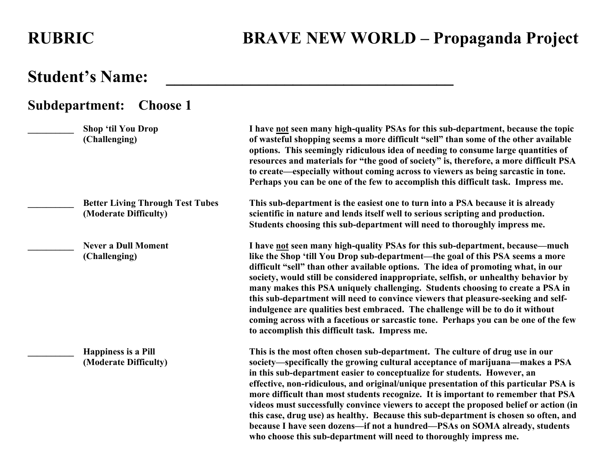**who choose this sub-department will need to thoroughly impress me.** 

## **Student's Name: \_\_\_\_\_\_\_\_\_\_\_\_\_\_\_\_\_\_\_\_\_\_\_\_\_\_\_\_\_\_\_\_\_\_**

### **Subdepartment: Choose 1 \_\_\_\_\_\_\_\_\_\_ Shop 'til You Drop I have not seen many high-quality PSAs for this sub-department, because the topic (Challenging) of wasteful shopping seems a more difficult "sell" than some of the other available options. This seemingly ridiculous idea of needing to consume large quantities of resources and materials for "the good of society" is, therefore, a more difficult PSA to create—especially without coming across to viewers as being sarcastic in tone. Perhaps you can be one of the few to accomplish this difficult task. Impress me. \_\_\_\_\_\_\_\_\_\_ Better Living Through Test Tubes This sub-department is the easiest one to turn into a PSA because it is already (Moderate Difficulty) scientific in nature and lends itself well to serious scripting and production. Students choosing this sub-department will need to thoroughly impress me. \_\_\_\_\_\_\_\_\_\_ Never a Dull Moment I have not seen many high-quality PSAs for this sub-department, because—much (Challenging) like the Shop 'till You Drop sub-department—the goal of this PSA seems a more difficult "sell" than other available options. The idea of promoting what, in our society, would still be considered inappropriate, selfish, or unhealthy behavior by many makes this PSA uniquely challenging. Students choosing to create a PSA in this sub-department will need to convince viewers that pleasure-seeking and selfindulgence are qualities best embraced. The challenge will be to do it without coming across with a facetious or sarcastic tone. Perhaps you can be one of the few to accomplish this difficult task. Impress me. \_\_\_\_\_\_\_\_\_\_ Happiness is a Pill This is the most often chosen sub-department. The culture of drug use in our (Moderate Difficulty) society—specifically the growing cultural acceptance of marijuana—makes a PSA in this sub-department easier to conceptualize for students. However, an effective, non-ridiculous, and original/unique presentation of this particular PSA is more difficult than most students recognize. It is important to remember that PSA videos must successfully convince viewers to accept the proposed belief or action (in this case, drug use) as healthy. Because this sub-department is chosen so often, and because I have seen dozens—if not a hundred—PSAs on SOMA already, students**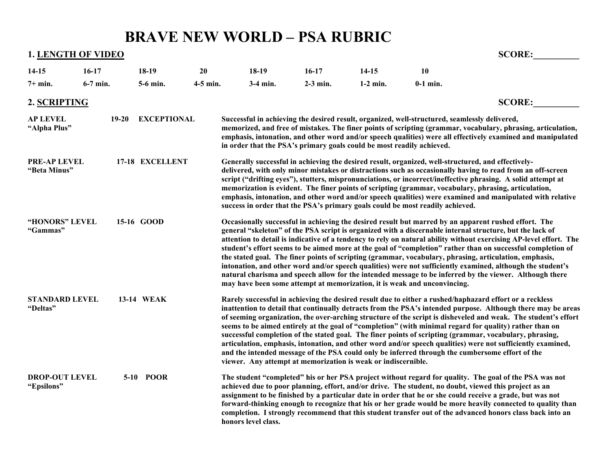# **BRAVE NEW WORLD – PSA RUBRIC**

**1. LENGTH OF VIDEO SCORE: 14-15 16-17 18-19 20 18-19 16-17 14-15 10**

| $7+$ min.                           | 6-7 min.  | 5-6 min.           | $4-5$ min. | $3-4$ min.                                                            | $2-3$ min. | $1-2$ min. | $0-1$ min.                                                                                    |                                                                                                                                                                                                                                                                                                                                                                                                                                                                                                                                                                                                                                                                                                                                                                                          |
|-------------------------------------|-----------|--------------------|------------|-----------------------------------------------------------------------|------------|------------|-----------------------------------------------------------------------------------------------|------------------------------------------------------------------------------------------------------------------------------------------------------------------------------------------------------------------------------------------------------------------------------------------------------------------------------------------------------------------------------------------------------------------------------------------------------------------------------------------------------------------------------------------------------------------------------------------------------------------------------------------------------------------------------------------------------------------------------------------------------------------------------------------|
| 2. SCRIPTING                        |           |                    |            |                                                                       |            |            |                                                                                               | <b>SCORE:</b>                                                                                                                                                                                                                                                                                                                                                                                                                                                                                                                                                                                                                                                                                                                                                                            |
| <b>AP LEVEL</b><br>"Alpha Plus"     | $19 - 20$ | <b>EXCEPTIONAL</b> |            | in order that the PSA's primary goals could be most readily achieved. |            |            | Successful in achieving the desired result, organized, well-structured, seamlessly delivered, | memorized, and free of mistakes. The finer points of scripting (grammar, vocabulary, phrasing, articulation,<br>emphasis, intonation, and other word and/or speech qualities) were all effectively examined and manipulated                                                                                                                                                                                                                                                                                                                                                                                                                                                                                                                                                              |
| <b>PRE-AP LEVEL</b><br>"Beta Minus" |           | 17-18 EXCELLENT    |            |                                                                       |            |            | success in order that the PSA's primary goals could be most readily achieved.                 | Generally successful in achieving the desired result, organized, well-structured, and effectively-<br>delivered, with only minor mistakes or distractions such as occasionally having to read from an off-screen<br>script ("drifting eyes"), stutters, mispronunciations, or incorrect/ineffective phrasing. A solid attempt at<br>memorization is evident. The finer points of scripting (grammar, vocabulary, phrasing, articulation,<br>emphasis, intonation, and other word and/or speech qualities) were examined and manipulated with relative                                                                                                                                                                                                                                    |
| "HONORS" LEVEL<br>"Gammas"          |           | 15-16 GOOD         |            |                                                                       |            |            | may have been some attempt at memorization, it is weak and unconvincing.                      | Occasionally successful in achieving the desired result but marred by an apparent rushed effort. The<br>general "skeleton" of the PSA script is organized with a discernable internal structure, but the lack of<br>attention to detail is indicative of a tendency to rely on natural ability without exercising AP-level effort. The<br>student's effort seems to be aimed more at the goal of "completion" rather than on successful completion of<br>the stated goal. The finer points of scripting (grammar, vocabulary, phrasing, articulation, emphasis,<br>intonation, and other word and/or speech qualities) were not sufficiently examined, although the student's<br>natural charisma and speech allow for the intended message to be inferred by the viewer. Although there |
| <b>STANDARD LEVEL</b><br>"Deltas"   |           | 13-14 WEAK         |            | viewer. Any attempt at memorization is weak or indiscernible.         |            |            |                                                                                               | Rarely successful in achieving the desired result due to either a rushed/haphazard effort or a reckless<br>inattention to detail that continually detracts from the PSA's intended purpose. Although there may be areas<br>of seeming organization, the over-arching structure of the script is disheveled and weak. The student's effort<br>seems to be aimed entirely at the goal of "completion" (with minimal regard for quality) rather than on<br>successful completion of the stated goal. The finer points of scripting (grammar, vocabulary, phrasing,<br>articulation, emphasis, intonation, and other word and/or speech qualities) were not sufficiently examined,<br>and the intended message of the PSA could only be inferred through the cumbersome effort of the        |
| <b>DROP-OUT LEVEL</b><br>"Epsilons" |           | 5-10 POOR          |            | honors level class.                                                   |            |            |                                                                                               | The student "completed" his or her PSA project without regard for quality. The goal of the PSA was not<br>achieved due to poor planning, effort, and/or drive. The student, no doubt, viewed this project as an<br>assignment to be finished by a particular date in order that he or she could receive a grade, but was not<br>forward-thinking enough to recognize that his or her grade would be more heavily connected to quality than<br>completion. I strongly recommend that this student transfer out of the advanced honors class back into an                                                                                                                                                                                                                                  |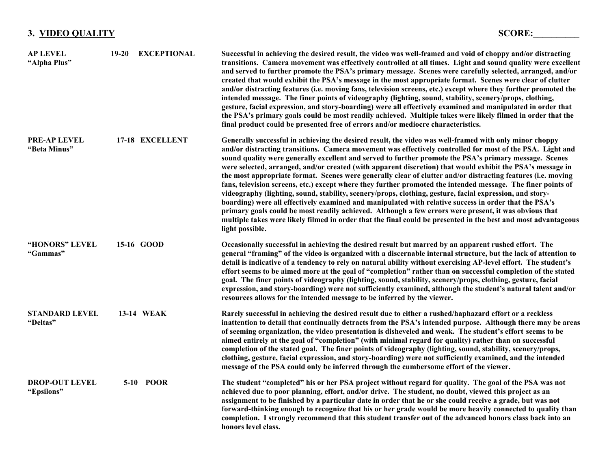### **3. VIDEO QUALITY SCORE:\_\_\_\_\_\_\_\_\_\_**

| <b>AP LEVEL</b><br>"Alpha Plus"     | $19 - 20$ | <b>EXCEPTIONAL</b> | Successful in achieving the desired result, the video was well-framed and void of choppy and/or distracting<br>transitions. Camera movement was effectively controlled at all times. Light and sound quality were excellent<br>and served to further promote the PSA's primary message. Scenes were carefully selected, arranged, and/or<br>created that would exhibit the PSA's message in the most appropriate format. Scenes were clear of clutter<br>and/or distracting features (i.e. moving fans, television screens, etc.) except where they further promoted the<br>intended message. The finer points of videography (lighting, sound, stability, scenery/props, clothing,<br>gesture, facial expression, and story-boarding) were all effectively examined and manipulated in order that<br>the PSA's primary goals could be most readily achieved. Multiple takes were likely filmed in order that the<br>final product could be presented free of errors and/or mediocre characteristics.                                                                                                                                          |
|-------------------------------------|-----------|--------------------|------------------------------------------------------------------------------------------------------------------------------------------------------------------------------------------------------------------------------------------------------------------------------------------------------------------------------------------------------------------------------------------------------------------------------------------------------------------------------------------------------------------------------------------------------------------------------------------------------------------------------------------------------------------------------------------------------------------------------------------------------------------------------------------------------------------------------------------------------------------------------------------------------------------------------------------------------------------------------------------------------------------------------------------------------------------------------------------------------------------------------------------------|
| <b>PRE-AP LEVEL</b><br>"Beta Minus" |           | 17-18 EXCELLENT    | Generally successful in achieving the desired result, the video was well-framed with only minor choppy<br>and/or distracting transitions. Camera movement was effectively controlled for most of the PSA. Light and<br>sound quality were generally excellent and served to further promote the PSA's primary message. Scenes<br>were selected, arranged, and/or created (with apparent discretion) that would exhibit the PSA's message in<br>the most appropriate format. Scenes were generally clear of clutter and/or distracting features (i.e. moving<br>fans, television screens, etc.) except where they further promoted the intended message. The finer points of<br>videography (lighting, sound, stability, scenery/props, clothing, gesture, facial expression, and story-<br>boarding) were all effectively examined and manipulated with relative success in order that the PSA's<br>primary goals could be most readily achieved. Although a few errors were present, it was obvious that<br>multiple takes were likely filmed in order that the final could be presented in the best and most advantageous<br>light possible. |
| "HONORS" LEVEL<br>"Gammas"          |           | 15-16 GOOD         | Occasionally successful in achieving the desired result but marred by an apparent rushed effort. The<br>general "framing" of the video is organized with a discernable internal structure, but the lack of attention to<br>detail is indicative of a tendency to rely on natural ability without exercising AP-level effort. The student's<br>effort seems to be aimed more at the goal of "completion" rather than on successful completion of the stated<br>goal. The finer points of videography (lighting, sound, stability, scenery/props, clothing, gesture, facial<br>expression, and story-boarding) were not sufficiently examined, although the student's natural talent and/or<br>resources allows for the intended message to be inferred by the viewer.                                                                                                                                                                                                                                                                                                                                                                           |
| <b>STANDARD LEVEL</b><br>"Deltas"   |           | 13-14 WEAK         | Rarely successful in achieving the desired result due to either a rushed/haphazard effort or a reckless<br>inattention to detail that continually detracts from the PSA's intended purpose. Although there may be areas<br>of seeming organization, the video presentation is disheveled and weak. The student's effort seems to be<br>aimed entirely at the goal of "completion" (with minimal regard for quality) rather than on successful<br>completion of the stated goal. The finer points of videography (lighting, sound, stability, scenery/props,<br>clothing, gesture, facial expression, and story-boarding) were not sufficiently examined, and the intended<br>message of the PSA could only be inferred through the cumbersome effort of the viewer.                                                                                                                                                                                                                                                                                                                                                                            |
| <b>DROP-OUT LEVEL</b><br>"Epsilons" |           | 5-10 POOR          | The student "completed" his or her PSA project without regard for quality. The goal of the PSA was not<br>achieved due to poor planning, effort, and/or drive. The student, no doubt, viewed this project as an<br>assignment to be finished by a particular date in order that he or she could receive a grade, but was not<br>forward-thinking enough to recognize that his or her grade would be more heavily connected to quality than<br>completion. I strongly recommend that this student transfer out of the advanced honors class back into an<br>honors level class.                                                                                                                                                                                                                                                                                                                                                                                                                                                                                                                                                                 |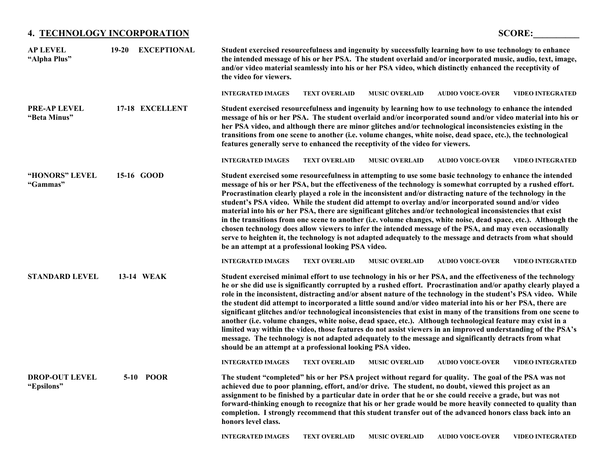#### **4. TECHNOLOGY INCORPORATION SCORE:\_\_\_\_\_\_\_\_\_\_**

| <b>AP LEVEL</b><br>"Alpha Plus"     | $19 - 20$ | <b>EXCEPTIONAL</b> | Student exercised resourcefulness and ingenuity by successfully learning how to use technology to enhance<br>the intended message of his or her PSA. The student overlaid and/or incorporated music, audio, text, image,<br>and/or video material seamlessly into his or her PSA video, which distinctly enhanced the receptivity of<br>the video for viewers.                                                                                                                                                                                                                                                                                                                                                                                                                                                                                                                                                                                                                              |
|-------------------------------------|-----------|--------------------|---------------------------------------------------------------------------------------------------------------------------------------------------------------------------------------------------------------------------------------------------------------------------------------------------------------------------------------------------------------------------------------------------------------------------------------------------------------------------------------------------------------------------------------------------------------------------------------------------------------------------------------------------------------------------------------------------------------------------------------------------------------------------------------------------------------------------------------------------------------------------------------------------------------------------------------------------------------------------------------------|
|                                     |           |                    | <b>INTEGRATED IMAGES</b><br><b>TEXT OVERLAID</b><br><b>MUSIC OVERLAID</b><br><b>AUDIO VOICE-OVER</b><br><b>VIDEO INTEGRATED</b>                                                                                                                                                                                                                                                                                                                                                                                                                                                                                                                                                                                                                                                                                                                                                                                                                                                             |
| <b>PRE-AP LEVEL</b><br>"Beta Minus" |           | 17-18 EXCELLENT    | Student exercised resourcefulness and ingenuity by learning how to use technology to enhance the intended<br>message of his or her PSA. The student overlaid and/or incorporated sound and/or video material into his or<br>her PSA video, and although there are minor glitches and/or technological inconsistencies existing in the<br>transitions from one scene to another (i.e. volume changes, white noise, dead space, etc.), the technological<br>features generally serve to enhanced the receptivity of the video for viewers.                                                                                                                                                                                                                                                                                                                                                                                                                                                    |
|                                     |           |                    | <b>INTEGRATED IMAGES</b><br><b>VIDEO INTEGRATED</b><br><b>TEXT OVERLAID</b><br><b>MUSIC OVERLAID</b><br><b>AUDIO VOICE-OVER</b>                                                                                                                                                                                                                                                                                                                                                                                                                                                                                                                                                                                                                                                                                                                                                                                                                                                             |
| "HONORS" LEVEL<br>"Gammas"          |           | 15-16 GOOD         | Student exercised some resourcefulness in attempting to use some basic technology to enhance the intended<br>message of his or her PSA, but the effectiveness of the technology is somewhat corrupted by a rushed effort.<br>Procrastination clearly played a role in the inconsistent and/or distracting nature of the technology in the<br>student's PSA video. While the student did attempt to overlay and/or incorporated sound and/or video<br>material into his or her PSA, there are significant glitches and/or technological inconsistencies that exist<br>in the transitions from one scene to another (i.e. volume changes, white noise, dead space, etc.). Although the<br>chosen technology does allow viewers to infer the intended message of the PSA, and may even occasionally<br>serve to heighten it, the technology is not adapted adequately to the message and detracts from what should<br>be an attempt at a professional looking PSA video.                       |
|                                     |           |                    | <b>INTEGRATED IMAGES</b><br><b>TEXT OVERLAID</b><br><b>MUSIC OVERLAID</b><br><b>AUDIO VOICE-OVER</b><br><b>VIDEO INTEGRATED</b>                                                                                                                                                                                                                                                                                                                                                                                                                                                                                                                                                                                                                                                                                                                                                                                                                                                             |
| <b>STANDARD LEVEL</b>               |           | 13-14 WEAK         | Student exercised minimal effort to use technology in his or her PSA, and the effectiveness of the technology<br>he or she did use is significantly corrupted by a rushed effort. Procrastination and/or apathy clearly played a<br>role in the inconsistent, distracting and/or absent nature of the technology in the student's PSA video. While<br>the student did attempt to incorporated a little sound and/or video material into his or her PSA, there are<br>significant glitches and/or technological inconsistencies that exist in many of the transitions from one scene to<br>another (i.e. volume changes, white noise, dead space, etc.). Although technological feature may exist in a<br>limited way within the video, those features do not assist viewers in an improved understanding of the PSA's<br>message. The technology is not adapted adequately to the message and significantly detracts from what<br>should be an attempt at a professional looking PSA video. |
|                                     |           |                    | <b>INTEGRATED IMAGES</b><br><b>TEXT OVERLAID</b><br><b>MUSIC OVERLAID</b><br><b>AUDIO VOICE-OVER</b><br><b>VIDEO INTEGRATED</b>                                                                                                                                                                                                                                                                                                                                                                                                                                                                                                                                                                                                                                                                                                                                                                                                                                                             |
| <b>DROP-OUT LEVEL</b><br>"Epsilons" |           | 5-10 POOR          | The student "completed" his or her PSA project without regard for quality. The goal of the PSA was not<br>achieved due to poor planning, effort, and/or drive. The student, no doubt, viewed this project as an<br>assignment to be finished by a particular date in order that he or she could receive a grade, but was not<br>forward-thinking enough to recognize that his or her grade would be more heavily connected to quality than<br>completion. I strongly recommend that this student transfer out of the advanced honors class back into an<br>honors level class.                                                                                                                                                                                                                                                                                                                                                                                                              |
|                                     |           |                    | <b>AUDIO VOICE-OVER</b><br><b>VIDEO INTEGRATED</b><br><b>INTEGRATED IMAGES</b><br><b>TEXT OVERLAID</b><br><b>MUSIC OVERLAID</b>                                                                                                                                                                                                                                                                                                                                                                                                                                                                                                                                                                                                                                                                                                                                                                                                                                                             |